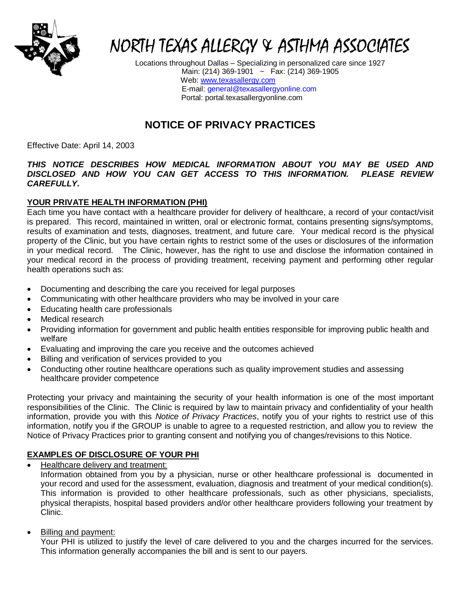

# NORTH TEXAS ALLERGY & ASTHMA ASSOCIATES

Locations throughout Dallas – Specializing in personalized care since 1927 Main: (214) 369-1901 ~ Fax: (214) 369-1905 Web: [www.texasallergy.com](http://www.texasallergy.com/) E-mail: [general@texasallergyonline.com](mailto:general@texasallergyonline.com) Portal: portal.texasallergyonline.com

# **NOTICE OF PRIVACY PRACTICES**

Effective Date: April 14, 2003

#### *THIS NOTICE DESCRIBES HOW MEDICAL INFORMATION ABOUT YOU MAY BE USED AND DISCLOSED AND HOW YOU CAN GET ACCESS TO THIS INFORMATION. PLEASE REVIEW CAREFULLY.*

# **YOUR PRIVATE HEALTH INFORMATION (PHI)**

Each time you have contact with a healthcare provider for delivery of healthcare, a record of your contact/visit is prepared. This record, maintained in written, oral or electronic format, contains presenting signs/symptoms, results of examination and tests, diagnoses, treatment, and future care. Your medical record is the physical property of the Clinic, but you have certain rights to restrict some of the uses or disclosures of the information in your medical record. The Clinic, however, has the right to use and disclose the information contained in your medical record in the process of providing treatment, receiving payment and performing other regular health operations such as:

- Documenting and describing the care you received for legal purposes
- Communicating with other healthcare providers who may be involved in your care
- Educating health care professionals
- Medical research
- Providing information for government and public health entities responsible for improving public health and welfare
- Evaluating and improving the care you receive and the outcomes achieved
- Billing and verification of services provided to you
- Conducting other routine healthcare operations such as quality improvement studies and assessing healthcare provider competence

Protecting your privacy and maintaining the security of your health information is one of the most important responsibilities of the Clinic. The Clinic is required by law to maintain privacy and confidentiality of your health information, provide you with this *Notice of Privacy Practices*, notify you of your rights to restrict use of this information, notify you if the GROUP is unable to agree to a requested restriction, and allow you to review the Notice of Privacy Practices prior to granting consent and notifying you of changes/revisions to this Notice.

# **EXAMPLES OF DISCLOSURE OF YOUR PHI**

• Healthcare delivery and treatment:

Information obtained from you by a physician, nurse or other healthcare professional is documented in your record and used for the assessment, evaluation, diagnosis and treatment of your medical condition(s). This information is provided to other healthcare professionals, such as other physicians, specialists, physical therapists, hospital based providers and/or other healthcare providers following your treatment by Clinic.

Billing and payment:

Your PHI is utilized to justify the level of care delivered to you and the charges incurred for the services. This information generally accompanies the bill and is sent to our payers.